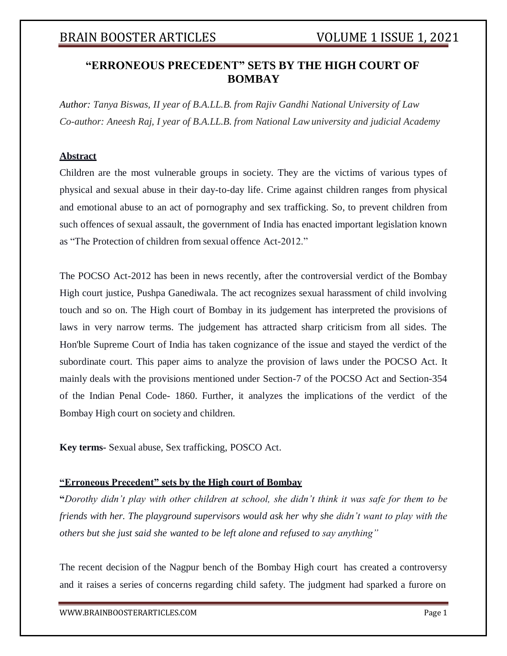### **"ERRONEOUS PRECEDENT" SETS BY THE HIGH COURT OF BOMBAY**

*Author: Tanya Biswas, II year of B.A.LL.B. from Rajiv Gandhi National University of Law Co-author: Aneesh Raj, I year of B.A.LL.B. from National Lawuniversity and judicial Academy*

### **Abstract**

Children are the most vulnerable groups in society. They are the victims of various types of physical and sexual abuse in their day-to-day life. Crime against children ranges from physical and emotional abuse to an act of pornography and sex trafficking. So, to prevent children from such offences of sexual assault, the government of India has enacted important legislation known as "The Protection of children from sexual offence Act-2012."

The POCSO Act-2012 has been in news recently, after the controversial verdict of the Bombay High court justice, Pushpa Ganediwala. The act recognizes sexual harassment of child involving touch and so on. The High court of Bombay in its judgement has interpreted the provisions of laws in very narrow terms. The judgement has attracted sharp criticism from all sides. The Hon'ble Supreme Court of India has taken cognizance of the issue and stayed the verdict of the subordinate court. This paper aims to analyze the provision of laws under the POCSO Act. It mainly deals with the provisions mentioned under Section-7 of the POCSO Act and Section-354 of the Indian Penal Code- 1860. Further, it analyzes the implications of the verdict of the Bombay High court on society and children.

**Key terms-** Sexual abuse, Sex trafficking, POSCO Act.

### **"Erroneous Precedent" sets by the High court of Bombay**

**"***Dorothy didn't play with other children at school, she didn't think it was safe for them to be friends with her. The playground supervisors would ask her why she didn't want to play with the others but she just said she wanted to be left alone and refused to say anything"*

The recent decision of the Nagpur bench of the Bombay High court has created a controversy and it raises a series of concerns regarding child safety. The judgment had sparked a furore on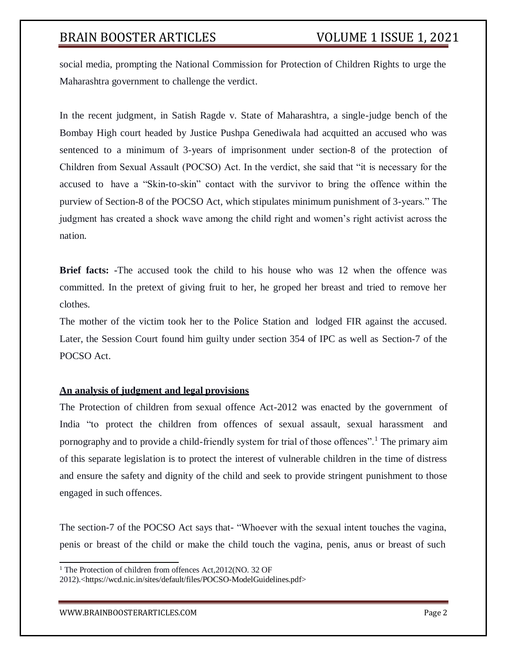social media, prompting the National Commission for Protection of Children Rights to urge the Maharashtra government to challenge the verdict.

In the recent judgment, in Satish Ragde v. State of Maharashtra, a single-judge bench of the Bombay High court headed by Justice Pushpa Genediwala had acquitted an accused who was sentenced to a minimum of 3-years of imprisonment under section-8 of the protection of Children from Sexual Assault (POCSO) Act. In the verdict, she said that "it is necessary for the accused to have a "Skin-to-skin" contact with the survivor to bring the offence within the purview of Section-8 of the POCSO Act, which stipulates minimum punishment of 3-years." The judgment has created a shock wave among the child right and women's right activist across the nation.

**Brief facts: -**The accused took the child to his house who was 12 when the offence was committed. In the pretext of giving fruit to her, he groped her breast and tried to remove her clothes.

The mother of the victim took her to the Police Station and lodged FIR against the accused. Later, the Session Court found him guilty under section 354 of IPC as well as Section-7 of the POCSO Act.

### **An analysis of judgment and legal provisions**

The Protection of children from sexual offence Act-2012 was enacted by the government of India "to protect the children from offences of sexual assault, sexual harassment and pornography and to provide a child-friendly system for trial of those offences".<sup>1</sup> The primary aim of this separate legislation is to protect the interest of vulnerable children in the time of distress and ensure the safety and dignity of the child and seek to provide stringent punishment to those engaged in such offences.

The section-7 of the POCSO Act says that- "Whoever with the sexual intent touches the vagina, penis or breast of the child or make the child touch the vagina, penis, anus or breast of such

[WWW.BRAINBOOSTERARTICLES.COM](http://www.brainboosterarticles.com/) Page 2

<sup>&</sup>lt;sup>1</sup> The Protection of children from offences Act, 2012(NO. 32 OF

<sup>2012).&</sup>lt;https://wcd.nic.in/sites/default/files/POCSO-ModelGuidelines.pdf>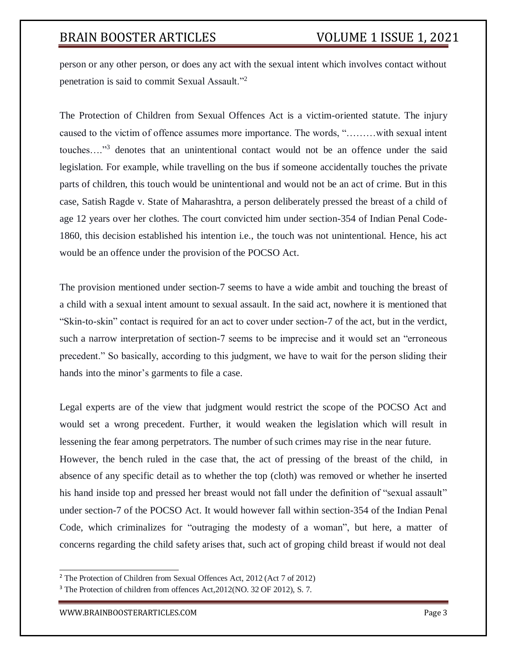person or any other person, or does any act with the sexual intent which involves contact without penetration is said to commit Sexual Assault."<sup>2</sup>

The Protection of Children from Sexual Offences Act is a victim-oriented statute. The injury caused to the victim of offence assumes more importance. The words, "………with sexual intent touches...."<sup>3</sup> denotes that an unintentional contact would not be an offence under the said legislation. For example, while travelling on the bus if someone accidentally touches the private parts of children, this touch would be unintentional and would not be an act of crime. But in this case, Satish Ragde v. State of Maharashtra, a person deliberately pressed the breast of a child of age 12 years over her clothes. The court convicted him under section-354 of Indian Penal Code-1860, this decision established his intention i.e., the touch was not unintentional. Hence, his act would be an offence under the provision of the POCSO Act.

The provision mentioned under section-7 seems to have a wide ambit and touching the breast of a child with a sexual intent amount to sexual assault. In the said act, nowhere it is mentioned that "Skin-to-skin" contact is required for an act to cover under section-7 of the act, but in the verdict, such a narrow interpretation of section-7 seems to be imprecise and it would set an "erroneous precedent." So basically, according to this judgment, we have to wait for the person sliding their hands into the minor's garments to file a case.

Legal experts are of the view that judgment would restrict the scope of the POCSO Act and would set a wrong precedent. Further, it would weaken the legislation which will result in lessening the fear among perpetrators. The number of such crimes may rise in the near future. However, the bench ruled in the case that, the act of pressing of the breast of the child, in absence of any specific detail as to whether the top (cloth) was removed or whether he inserted his hand inside top and pressed her breast would not fall under the definition of "sexual assault" under section-7 of the POCSO Act. It would however fall within section-354 of the Indian Penal Code, which criminalizes for "outraging the modesty of a woman", but here, a matter of concerns regarding the child safety arises that, such act of groping child breast if would not deal

<sup>2</sup> The Protection of Children from Sexual Offences Act, 2012 (Act 7 of 2012)

<sup>3</sup> The Protection of children from offences Act,2012(NO. 32 OF 2012), S. 7.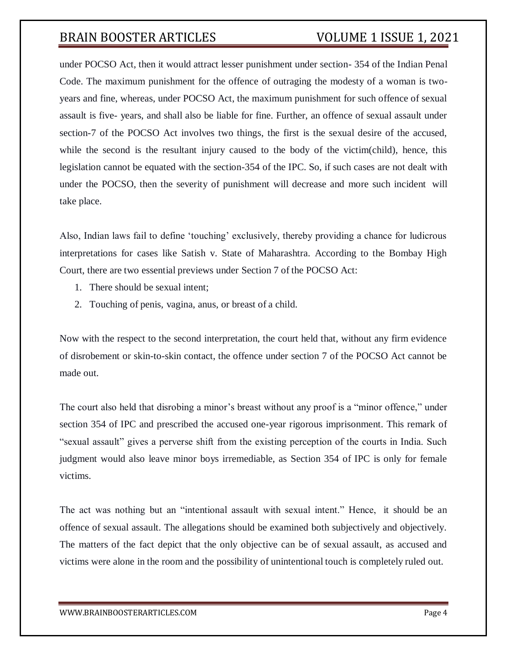under POCSO Act, then it would attract lesser punishment under section- 354 of the Indian Penal Code. The maximum punishment for the offence of outraging the modesty of a woman is twoyears and fine, whereas, under POCSO Act, the maximum punishment for such offence of sexual assault is five- years, and shall also be liable for fine. Further, an offence of sexual assault under section-7 of the POCSO Act involves two things, the first is the sexual desire of the accused, while the second is the resultant injury caused to the body of the victim(child), hence, this legislation cannot be equated with the section-354 of the IPC. So, if such cases are not dealt with under the POCSO, then the severity of punishment will decrease and more such incident will take place.

Also, Indian laws fail to define 'touching' exclusively, thereby providing a chance for ludicrous interpretations for cases like Satish v. State of Maharashtra. According to the Bombay High Court, there are two essential previews under Section 7 of the POCSO Act:

- 1. There should be sexual intent;
- 2. Touching of penis, vagina, anus, or breast of a child.

Now with the respect to the second interpretation, the court held that, without any firm evidence of disrobement or skin-to-skin contact, the offence under section 7 of the POCSO Act cannot be made out.

The court also held that disrobing a minor's breast without any proof is a "minor offence," under section 354 of IPC and prescribed the accused one-year rigorous imprisonment. This remark of "sexual assault" gives a perverse shift from the existing perception of the courts in India. Such judgment would also leave minor boys irremediable, as Section 354 of IPC is only for female victims.

The act was nothing but an "intentional assault with sexual intent." Hence, it should be an offence of sexual assault. The allegations should be examined both subjectively and objectively. The matters of the fact depict that the only objective can be of sexual assault, as accused and victims were alone in the room and the possibility of unintentional touch is completely ruled out.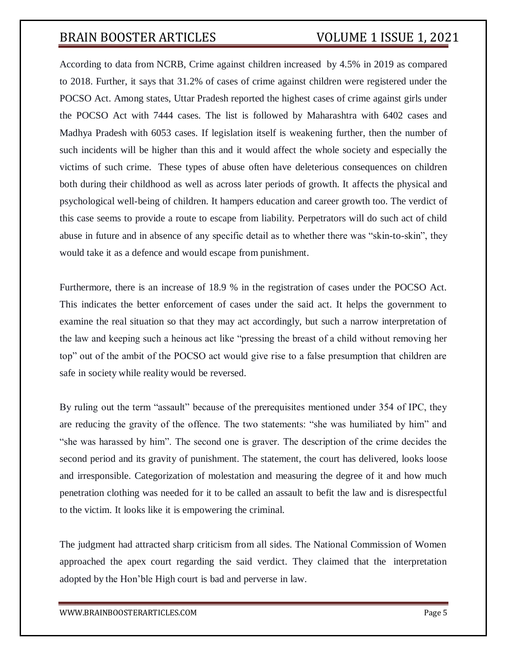According to data from NCRB, Crime against children increased by 4.5% in 2019 as compared to 2018. Further, it says that 31.2% of cases of crime against children were registered under the POCSO Act. Among states, Uttar Pradesh reported the highest cases of crime against girls under the POCSO Act with 7444 cases. The list is followed by Maharashtra with 6402 cases and Madhya Pradesh with 6053 cases. If legislation itself is weakening further, then the number of such incidents will be higher than this and it would affect the whole society and especially the victims of such crime. These types of abuse often have deleterious consequences on children both during their childhood as well as across later periods of growth. It affects the physical and psychological well-being of children. It hampers education and career growth too. The verdict of this case seems to provide a route to escape from liability. Perpetrators will do such act of child abuse in future and in absence of any specific detail as to whether there was "skin-to-skin", they would take it as a defence and would escape from punishment.

Furthermore, there is an increase of 18.9 % in the registration of cases under the POCSO Act. This indicates the better enforcement of cases under the said act. It helps the government to examine the real situation so that they may act accordingly, but such a narrow interpretation of the law and keeping such a heinous act like "pressing the breast of a child without removing her top" out of the ambit of the POCSO act would give rise to a false presumption that children are safe in society while reality would be reversed.

By ruling out the term "assault" because of the prerequisites mentioned under 354 of IPC, they are reducing the gravity of the offence. The two statements: "she was humiliated by him" and "she was harassed by him". The second one is graver. The description of the crime decides the second period and its gravity of punishment. The statement, the court has delivered, looks loose and irresponsible. Categorization of molestation and measuring the degree of it and how much penetration clothing was needed for it to be called an assault to befit the law and is disrespectful to the victim. It looks like it is empowering the criminal.

The judgment had attracted sharp criticism from all sides. The National Commission of Women approached the apex court regarding the said verdict. They claimed that the interpretation adopted by the Hon'ble High court is bad and perverse in law.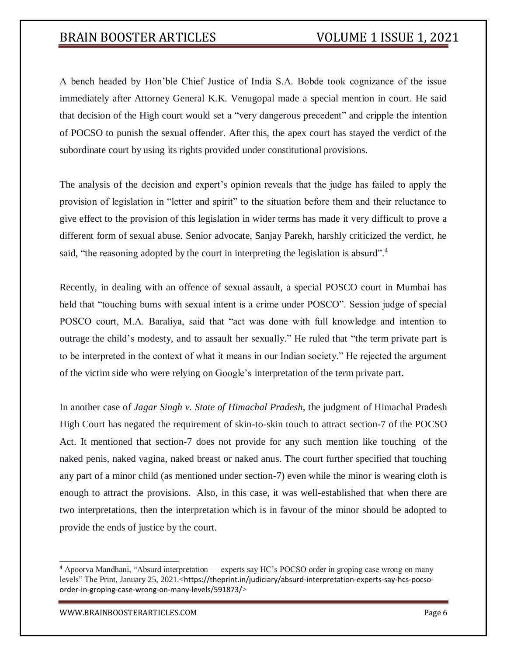A bench headed by Hon'ble Chief Justice of India S.A. Bobde took cognizance of the issue immediately after Attorney General K.K. Venugopal made a special mention in court. He said that decision of the High court would set a "very dangerous precedent" and cripple the intention of POCSO to punish the sexual offender. After this, the apex court has stayed the verdict of the subordinate court by using its rights provided under constitutional provisions.

The analysis of the decision and expert's opinion reveals that the judge has failed to apply the provision of legislation in "letter and spirit" to the situation before them and their reluctance to give effect to the provision of this legislation in wider terms has made it very difficult to prove a different form of sexual abuse. Senior advocate, Sanjay Parekh, harshly criticized the verdict, he said, "the reasoning adopted by the court in interpreting the legislation is absurd".<sup>4</sup>

Recently, in dealing with an offence of sexual assault, a special POSCO court in Mumbai has held that "touching bums with sexual intent is a crime under POSCO". Session judge of special POSCO court, M.A. Baraliya, said that "act was done with full knowledge and intention to outrage the child's modesty, and to assault her sexually." He ruled that "the term private part is to be interpreted in the context of what it means in our Indian society." He rejected the argument of the victim side who were relying on Google's interpretation of the term private part.

In another case of *Jagar Singh v. State of Himachal Pradesh*, the judgment of Himachal Pradesh High Court has negated the requirement of skin-to-skin touch to attract section-7 of the POCSO Act. It mentioned that section-7 does not provide for any such mention like touching of the naked penis, naked vagina, naked breast or naked anus. The court further specified that touching any part of a minor child (as mentioned under section-7) even while the minor is wearing cloth is enough to attract the provisions. Also, in this case, it was well-established that when there are two interpretations, then the interpretation which is in favour of the minor should be adopted to provide the ends of justice by the court.

<sup>4</sup> Apoorva Mandhani, "Absurd interpretation — experts say HC's POCSO order in groping case wrong on many levels" The Print, January 25, 2021.<https://theprint.in/judiciary/absurd-interpretation-experts-say-hcs-pocsoorder-in-groping-case-wrong-on-many-levels/591873/>